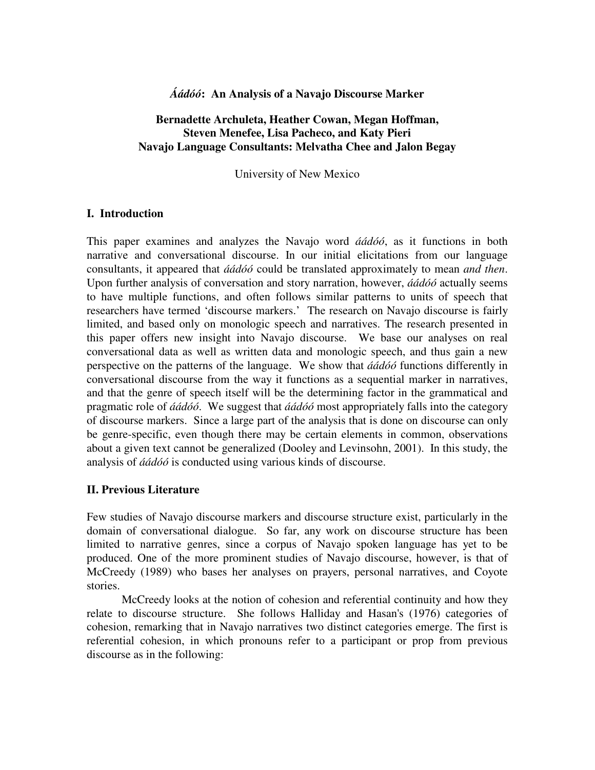# *Áádóó***: An Analysis of a Navajo Discourse Marker**

# **Bernadette Archuleta, Heather Cowan, Megan Hoffman, Steven Menefee, Lisa Pacheco, and Katy Pieri Navajo Language Consultants: Melvatha Chee and Jalon Begay**

University of New Mexico

# **I. Introduction**

This paper examines and analyzes the Navajo word *áádóó*, as it functions in both narrative and conversational discourse. In our initial elicitations from our language consultants, it appeared that *áádóó* could be translated approximately to mean *and then*. Upon further analysis of conversation and story narration, however, *áádóó* actually seems to have multiple functions, and often follows similar patterns to units of speech that researchers have termed 'discourse markers.' The research on Navajo discourse is fairly limited, and based only on monologic speech and narratives. The research presented in this paper offers new insight into Navajo discourse. We base our analyses on real conversational data as well as written data and monologic speech, and thus gain a new perspective on the patterns of the language. We show that *áádóó* functions differently in conversational discourse from the way it functions as a sequential marker in narratives, and that the genre of speech itself will be the determining factor in the grammatical and pragmatic role of *áádóó*. We suggest that *áádóó* most appropriately falls into the category of discourse markers. Since a large part of the analysis that is done on discourse can only be genre-specific, even though there may be certain elements in common, observations about a given text cannot be generalized (Dooley and Levinsohn, 2001). In this study, the analysis of *áádóó* is conducted using various kinds of discourse.

# **II. Previous Literature**

Few studies of Navajo discourse markers and discourse structure exist, particularly in the domain of conversational dialogue. So far, any work on discourse structure has been limited to narrative genres, since a corpus of Navajo spoken language has yet to be produced. One of the more prominent studies of Navajo discourse, however, is that of McCreedy (1989) who bases her analyses on prayers, personal narratives, and Coyote stories.

 McCreedy looks at the notion of cohesion and referential continuity and how they relate to discourse structure. She follows Halliday and Hasan's (1976) categories of cohesion, remarking that in Navajo narratives two distinct categories emerge. The first is referential cohesion, in which pronouns refer to a participant or prop from previous discourse as in the following: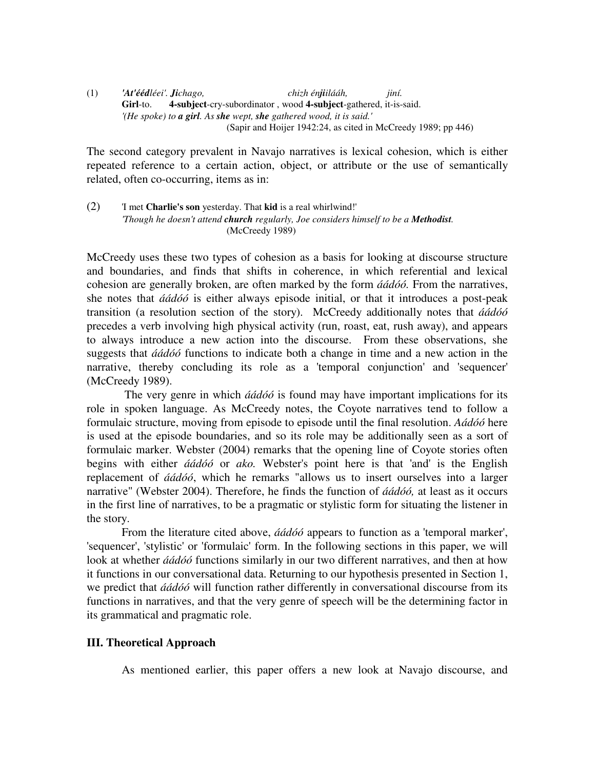#### (1) *'At'éédléei'. Jichago, chizh énjiilááh, jiní.*  **Girl**-to. **4-subject**-cry-subordinator , wood **4-subject**-gathered, it-is-said. *'(He spoke) to a girl. As she wept, she gathered wood, it is said.'*  (Sapir and Hoijer 1942:24, as cited in McCreedy 1989; pp 446)

The second category prevalent in Navajo narratives is lexical cohesion, which is either repeated reference to a certain action, object, or attribute or the use of semantically related, often co-occurring, items as in:

(2) 'I met **Charlie's son** yesterday. That **kid** is a real whirlwind!'  *'Though he doesn't attend church regularly, Joe considers himself to be a Methodist.*  (McCreedy 1989)

McCreedy uses these two types of cohesion as a basis for looking at discourse structure and boundaries, and finds that shifts in coherence, in which referential and lexical cohesion are generally broken, are often marked by the form *áádóó.* From the narratives, she notes that *áádóó* is either always episode initial, or that it introduces a post-peak transition (a resolution section of the story). McCreedy additionally notes that *áádóó*  precedes a verb involving high physical activity (run, roast, eat, rush away), and appears to always introduce a new action into the discourse. From these observations, she suggests that *áádóó* functions to indicate both a change in time and a new action in the narrative, thereby concluding its role as a 'temporal conjunction' and 'sequencer' (McCreedy 1989).

 The very genre in which *áádóó* is found may have important implications for its role in spoken language. As McCreedy notes, the Coyote narratives tend to follow a formulaic structure, moving from episode to episode until the final resolution. *Aádóó* here is used at the episode boundaries, and so its role may be additionally seen as a sort of formulaic marker. Webster (2004) remarks that the opening line of Coyote stories often begins with either *áádóó* or *ako.* Webster's point here is that 'and' is the English replacement of *áádóó*, which he remarks "allows us to insert ourselves into a larger narrative" (Webster 2004). Therefore, he finds the function of *áádóó,* at least as it occurs in the first line of narratives, to be a pragmatic or stylistic form for situating the listener in the story.

 From the literature cited above, *áádóó* appears to function as a 'temporal marker', 'sequencer', 'stylistic' or 'formulaic' form. In the following sections in this paper, we will look at whether *áádóó* functions similarly in our two different narratives, and then at how it functions in our conversational data. Returning to our hypothesis presented in Section 1, we predict that *áádóó* will function rather differently in conversational discourse from its functions in narratives, and that the very genre of speech will be the determining factor in its grammatical and pragmatic role.

# **III. Theoretical Approach**

As mentioned earlier, this paper offers a new look at Navajo discourse, and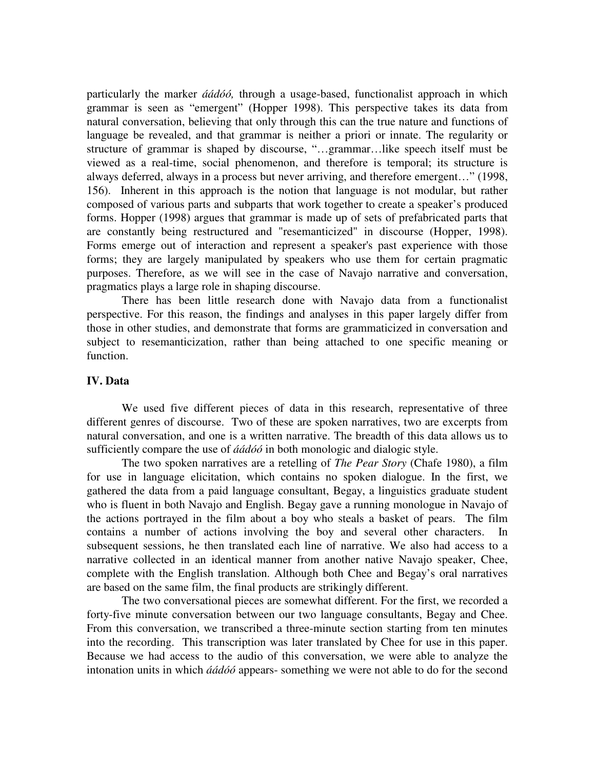particularly the marker *áádóó,* through a usage-based, functionalist approach in which grammar is seen as "emergent" (Hopper 1998). This perspective takes its data from natural conversation, believing that only through this can the true nature and functions of language be revealed, and that grammar is neither a priori or innate. The regularity or structure of grammar is shaped by discourse, "…grammar…like speech itself must be viewed as a real-time, social phenomenon, and therefore is temporal; its structure is always deferred, always in a process but never arriving, and therefore emergent…" (1998, 156). Inherent in this approach is the notion that language is not modular, but rather composed of various parts and subparts that work together to create a speaker's produced forms. Hopper (1998) argues that grammar is made up of sets of prefabricated parts that are constantly being restructured and "resemanticized" in discourse (Hopper, 1998). Forms emerge out of interaction and represent a speaker's past experience with those forms; they are largely manipulated by speakers who use them for certain pragmatic purposes. Therefore, as we will see in the case of Navajo narrative and conversation, pragmatics plays a large role in shaping discourse.

There has been little research done with Navajo data from a functionalist perspective. For this reason, the findings and analyses in this paper largely differ from those in other studies, and demonstrate that forms are grammaticized in conversation and subject to resemanticization, rather than being attached to one specific meaning or function.

## **IV. Data**

We used five different pieces of data in this research, representative of three different genres of discourse. Two of these are spoken narratives, two are excerpts from natural conversation, and one is a written narrative. The breadth of this data allows us to sufficiently compare the use of *áádóó* in both monologic and dialogic style.

The two spoken narratives are a retelling of *The Pear Story* (Chafe 1980), a film for use in language elicitation, which contains no spoken dialogue. In the first, we gathered the data from a paid language consultant, Begay, a linguistics graduate student who is fluent in both Navajo and English. Begay gave a running monologue in Navajo of the actions portrayed in the film about a boy who steals a basket of pears. The film contains a number of actions involving the boy and several other characters. In subsequent sessions, he then translated each line of narrative. We also had access to a narrative collected in an identical manner from another native Navajo speaker, Chee, complete with the English translation. Although both Chee and Begay's oral narratives are based on the same film, the final products are strikingly different.

The two conversational pieces are somewhat different. For the first, we recorded a forty-five minute conversation between our two language consultants, Begay and Chee. From this conversation, we transcribed a three-minute section starting from ten minutes into the recording. This transcription was later translated by Chee for use in this paper. Because we had access to the audio of this conversation, we were able to analyze the intonation units in which *áádóó* appears- something we were not able to do for the second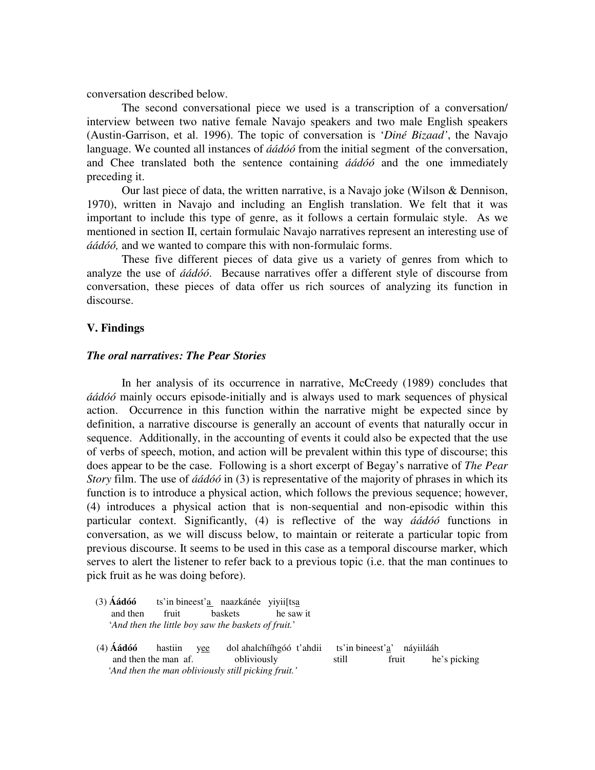conversation described below.

The second conversational piece we used is a transcription of a conversation/ interview between two native female Navajo speakers and two male English speakers (Austin-Garrison, et al. 1996). The topic of conversation is '*Diné Bizaad'*, the Navajo language. We counted all instances of *áádóó* from the initial segment of the conversation, and Chee translated both the sentence containing *áádóó* and the one immediately preceding it.

Our last piece of data, the written narrative, is a Navajo joke (Wilson & Dennison, 1970), written in Navajo and including an English translation. We felt that it was important to include this type of genre, as it follows a certain formulaic style. As we mentioned in section II, certain formulaic Navajo narratives represent an interesting use of *áádóó,* and we wanted to compare this with non-formulaic forms.

These five different pieces of data give us a variety of genres from which to analyze the use of *áádóó*. Because narratives offer a different style of discourse from conversation, these pieces of data offer us rich sources of analyzing its function in discourse.

#### **V. Findings**

#### *The oral narratives: The Pear Stories*

In her analysis of its occurrence in narrative, McCreedy (1989) concludes that *áádóó* mainly occurs episode-initially and is always used to mark sequences of physical action. Occurrence in this function within the narrative might be expected since by definition, a narrative discourse is generally an account of events that naturally occur in sequence. Additionally, in the accounting of events it could also be expected that the use of verbs of speech, motion, and action will be prevalent within this type of discourse; this does appear to be the case. Following is a short excerpt of Begay's narrative of *The Pear Story* film. The use of *áádóó* in (3) is representative of the majority of phrases in which its function is to introduce a physical action, which follows the previous sequence; however, (4) introduces a physical action that is non-sequential and non-episodic within this particular context. Significantly, (4) is reflective of the way *áádóó* functions in conversation, as we will discuss below, to maintain or reiterate a particular topic from previous discourse. It seems to be used in this case as a temporal discourse marker, which serves to alert the listener to refer back to a previous topic (i.e. that the man continues to pick fruit as he was doing before).

- (3) **Áádóó** ts'in bineest'a naazkánée yiyii[tsa and then fruit baskets he saw it '*And then the little boy saw the baskets of fruit.*'
- (4) **Áádóó** hastiin yee dol ahalchííhgóó t'ahdii ts'in bineest'a' náyiilááh and then the man af. obliviously still fruit he's picking  *'And then the man obliviously still picking fruit.'*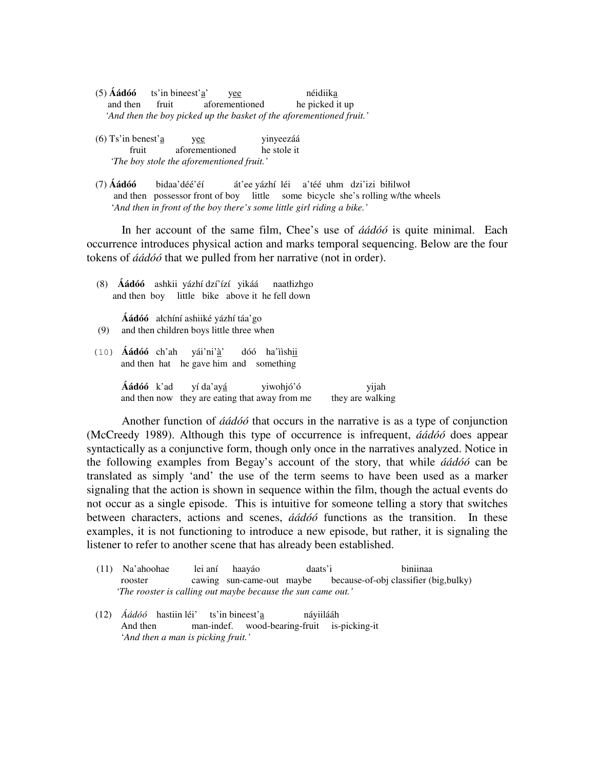- (5) **Áádóó** ts'in bineest'a' yee néidiika and then fruit aforementioned he picked it up *'And then the boy picked up the basket of the aforementioned fruit.'*
- (6) Ts'in benest'a yee yinyeezáá fruit aforementioned he stole it  *'The boy stole the aforementioned fruit.'*
- (7) **Áádóó** bidaa'déé'éí át'ee yázhí léi a'téé uhm dzi'izi biłilwoł and then possessor front of boy little some bicycle she's rolling w/the wheels '*And then in front of the boy there's some little girl riding a bike.'*

In her account of the same film, Chee's use of *áádóó* is quite minimal. Each occurrence introduces physical action and marks temporal sequencing. Below are the four tokens of *áádóó* that we pulled from her narrative (not in order).

(8) **Áádóó** ashkii yázhí dzí'ízí yikáá naatłizhgo and then boy little bike above it he fell down

**Áádóó** ałchíní ashiiké yázhí táa'go (9) and then children boys little three when

 (10) **Áádóó** ch'ah yái'ni'à' dóó ha'ììshii and then hat he gave him and something

> **Áádóó** k'ad yí da'ayá yiwohjó'ó yijah and then now they are eating that away from me they are walking

Another function of *áádóó* that occurs in the narrative is as a type of conjunction (McCreedy 1989). Although this type of occurrence is infrequent, *áádóó* does appear syntactically as a conjunctive form, though only once in the narratives analyzed. Notice in the following examples from Begay's account of the story, that while *áádóó* can be translated as simply 'and' the use of the term seems to have been used as a marker signaling that the action is shown in sequence within the film, though the actual events do not occur as a single episode. This is intuitive for someone telling a story that switches between characters, actions and scenes, *áádóó* functions as the transition. In these examples, it is not functioning to introduce a new episode, but rather, it is signaling the listener to refer to another scene that has already been established.

- (11) Na'ahoohae lei aní haayáo daats'i biniinaa rooster cawing sun-came-out maybe because-of-obj classifier (big,bulky)  *'The rooster is calling out maybe because the sun came out.'*
- (12) *Áádóó* hastiin léi' ts'in bineest'a náyiilááh And then man-indef. wood-bearing-fruit is-picking-it '*And then a man is picking fruit.'*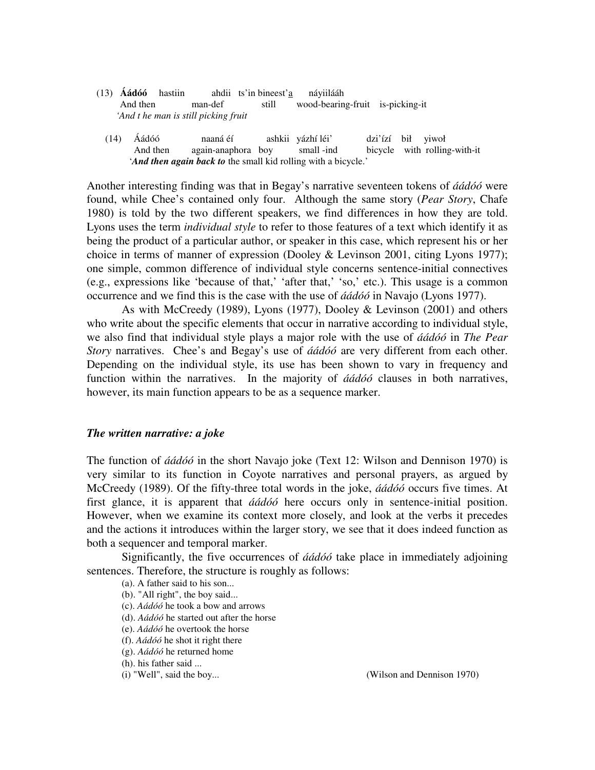- (13) **Áádóó** hastiin ahdii ts'in bineest'a náyiilááh And then man-def still wood-bearing-fruit is-picking-it *'And t he man is still picking fruit* 
	- (14) Áádóó naaná éí ashkii yázhí léi' dzi'ízí bił yiwoł And then again-anaphora boy small -ind bicycle with rolling-with-it '*And then again back to* the small kid rolling with a bicycle.'

Another interesting finding was that in Begay's narrative seventeen tokens of *áádóó* were found, while Chee's contained only four. Although the same story (*Pear Story*, Chafe 1980) is told by the two different speakers, we find differences in how they are told. Lyons uses the term *individual style* to refer to those features of a text which identify it as being the product of a particular author, or speaker in this case, which represent his or her choice in terms of manner of expression (Dooley & Levinson 2001, citing Lyons 1977); one simple, common difference of individual style concerns sentence-initial connectives (e.g., expressions like 'because of that,' 'after that,' 'so,' etc.). This usage is a common occurrence and we find this is the case with the use of *áádóó* in Navajo (Lyons 1977).

As with McCreedy (1989), Lyons (1977), Dooley & Levinson (2001) and others who write about the specific elements that occur in narrative according to individual style, we also find that individual style plays a major role with the use of *áádóó* in *The Pear Story* narratives. Chee's and Begay's use of *áádóó* are very different from each other. Depending on the individual style, its use has been shown to vary in frequency and function within the narratives. In the majority of *áádóó* clauses in both narratives, however, its main function appears to be as a sequence marker.

### *The written narrative: a joke*

The function of *áádóó* in the short Navajo joke (Text 12: Wilson and Dennison 1970) is very similar to its function in Coyote narratives and personal prayers, as argued by McCreedy (1989). Of the fifty-three total words in the joke, *áádóó* occurs five times. At first glance, it is apparent that *áádóó* here occurs only in sentence-initial position. However, when we examine its context more closely, and look at the verbs it precedes and the actions it introduces within the larger story, we see that it does indeed function as both a sequencer and temporal marker.

Significantly, the five occurrences of *áádóó* take place in immediately adjoining sentences. Therefore, the structure is roughly as follows:

- (a). A father said to his son...
- (b). "All right", the boy said...
- (c). *Aádóó* he took a bow and arrows
- (d). *Aádóó* he started out after the horse
- (e). *Aádóó* he overtook the horse
- (f). *Aádóó* he shot it right there
- (g). *Aádóó* he returned home
- (h). his father said ...
- 

(i) "Well", said the boy... (Wilson and Dennison 1970)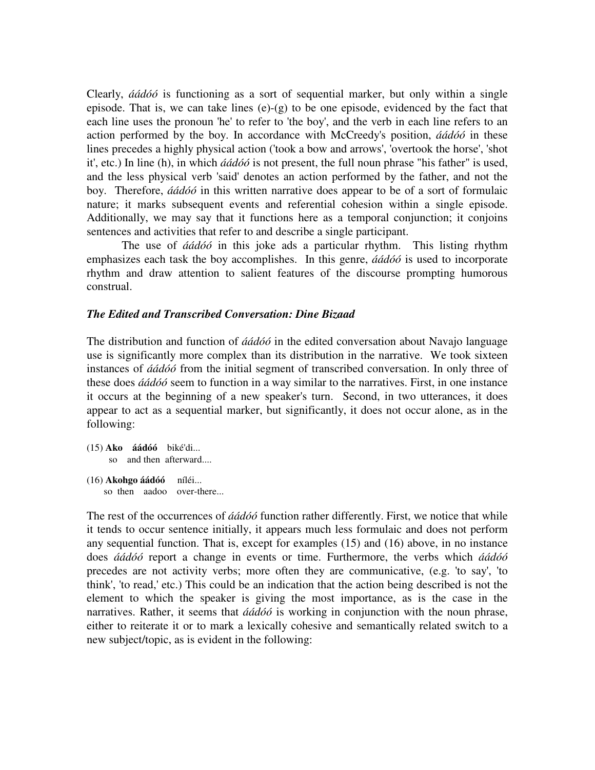Clearly, *áádóó* is functioning as a sort of sequential marker, but only within a single episode. That is, we can take lines  $(e)-(g)$  to be one episode, evidenced by the fact that each line uses the pronoun 'he' to refer to 'the boy', and the verb in each line refers to an action performed by the boy. In accordance with McCreedy's position, *áádóó* in these lines precedes a highly physical action ('took a bow and arrows', 'overtook the horse', 'shot it', etc.) In line (h), in which *áádóó* is not present, the full noun phrase "his father" is used, and the less physical verb 'said' denotes an action performed by the father, and not the boy. Therefore, *áádóó* in this written narrative does appear to be of a sort of formulaic nature; it marks subsequent events and referential cohesion within a single episode. Additionally, we may say that it functions here as a temporal conjunction; it conjoins sentences and activities that refer to and describe a single participant.

 The use of *áádóó* in this joke ads a particular rhythm. This listing rhythm emphasizes each task the boy accomplishes. In this genre, *áádóó* is used to incorporate rhythm and draw attention to salient features of the discourse prompting humorous construal.

## *The Edited and Transcribed Conversation: Dine Bizaad*

The distribution and function of *áádóó* in the edited conversation about Navajo language use is significantly more complex than its distribution in the narrative. We took sixteen instances of *áádóó* from the initial segment of transcribed conversation. In only three of these does *áádóó* seem to function in a way similar to the narratives. First, in one instance it occurs at the beginning of a new speaker's turn. Second, in two utterances, it does appear to act as a sequential marker, but significantly, it does not occur alone, as in the following:

```
(15) Ako áádóó biké'di... 
      so and then afterward.... 
(16) Akohgo áádóó níléi... 
     so then aadoo over-there...
```
The rest of the occurrences of *áádóó* function rather differently. First, we notice that while it tends to occur sentence initially, it appears much less formulaic and does not perform any sequential function. That is, except for examples (15) and (16) above, in no instance does *áádóó* report a change in events or time. Furthermore, the verbs which *áádóó*  precedes are not activity verbs; more often they are communicative, (e.g. 'to say', 'to think', 'to read,' etc.) This could be an indication that the action being described is not the element to which the speaker is giving the most importance, as is the case in the narratives. Rather, it seems that *áádóó* is working in conjunction with the noun phrase, either to reiterate it or to mark a lexically cohesive and semantically related switch to a new subject/topic, as is evident in the following: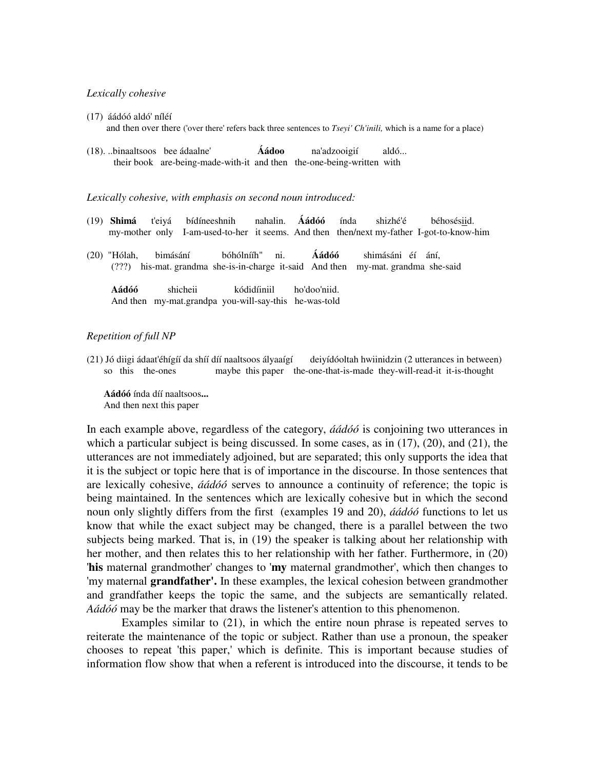#### *Lexically cohesive*

- (17) áádóó aldó' níléí and then over there ('over there' refers back three sentences to *Tseyi' Ch'inili,* which is a name for a place)
- (18). ..binaaltsoos bee ádaalne' **Áádoo** na'adzooigií aldó... their bookare-being-made-with-it and then the-one-being-writtenwith

#### *Lexically cohesive, with emphasis on second noun introduced:*

And then my-mat.grandpa you-will-say-this he-was-told

- (19) **Shimá** t'eiyá bídíneeshnih nahalin. **Áádóó** índa shizhé'é béhosésiid. my-mother only I-am-used-to-her it seems. And thenthen/next my-fatherI-got-to-know-him
- (20) "Hólah, bimásání bóhólnííh" ni. **Áádóó** shimásáni éí ání, (???) his-mat. grandmashe-is-in-charge it-said And then my-mat. grandma she-said **Aádóó** shicheii kódidíiniil ho'doo'niid.

#### *Repetition of full NP*

(21) Jó diigi ádaat'éhígíí da shíí díí naaltsoos ályaaígí deiyídóoltah hwiinidzin (2 utterances in between) so this the-ones maybe this paper the-one-that-is-made they-will-read-it it-is-thought

 **Aádóó** índa díí naaltsoos**...**  And then next this paper

In each example above, regardless of the category, *áádóó* is conjoining two utterances in which a particular subject is being discussed. In some cases, as in (17), (20), and (21), the utterances are not immediately adjoined, but are separated; this only supports the idea that it is the subject or topic here that is of importance in the discourse. In those sentences that are lexically cohesive, *áádóó* serves to announce a continuity of reference; the topic is being maintained. In the sentences which are lexically cohesive but in which the second noun only slightly differs from the first (examples 19 and 20), *áádóó* functions to let us know that while the exact subject may be changed, there is a parallel between the two subjects being marked. That is, in (19) the speaker is talking about her relationship with her mother, and then relates this to her relationship with her father. Furthermore, in (20) '**his** maternal grandmother' changes to '**my** maternal grandmother', which then changes to 'my maternal **grandfather'.** In these examples, the lexical cohesion between grandmother and grandfather keeps the topic the same, and the subjects are semantically related. *Aádóó* may be the marker that draws the listener's attention to this phenomenon.

 Examples similar to (21), in which the entire noun phrase is repeated serves to reiterate the maintenance of the topic or subject. Rather than use a pronoun, the speaker chooses to repeat 'this paper,' which is definite. This is important because studies of information flow show that when a referent is introduced into the discourse, it tends to be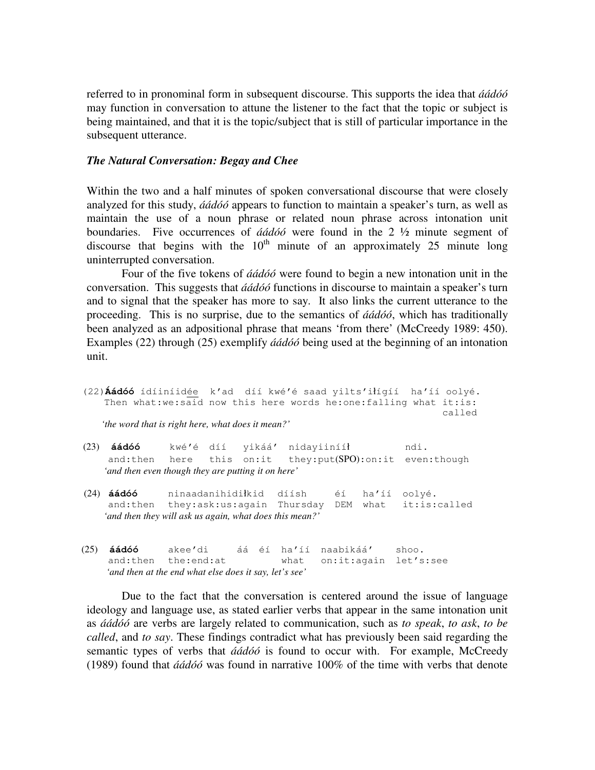referred to in pronominal form in subsequent discourse. This supports the idea that *áádóó* may function in conversation to attune the listener to the fact that the topic or subject is being maintained, and that it is the topic/subject that is still of particular importance in the subsequent utterance.

## *The Natural Conversation: Begay and Chee*

Within the two and a half minutes of spoken conversational discourse that were closely analyzed for this study, *áádóó* appears to function to maintain a speaker's turn, as well as maintain the use of a noun phrase or related noun phrase across intonation unit boundaries. Five occurrences of *áádóó* were found in the 2 ½ minute segment of discourse that begins with the  $10<sup>th</sup>$  minute of an approximately 25 minute long uninterrupted conversation.

 Four of the five tokens of *áádóó* were found to begin a new intonation unit in the conversation. This suggests that *áádóó* functions in discourse to maintain a speaker's turn and to signal that the speaker has more to say. It also links the current utterance to the proceeding. This is no surprise, due to the semantics of *áádóó*, which has traditionally been analyzed as an adpositional phrase that means 'from there' (McCreedy 1989: 450). Examples (22) through (25) exemplify *áádóó* being used at the beginning of an intonation unit.

 (22)**Áádóó** ídíiníidée k'ad díí kwé'é saad yilts'iłígíí ha'íí oolyé. Then what:we:said now this here words he:one:falling what it:is: called

 *'the word that is right here, what does it mean?'* 

 (23) **áádóó** kwé'é díí yikáá' nidayiinííł ndi. and:then here this on:it they:put(SPO):on:it even:though  *'and then even though they are putting it on here'* 

 (24) **áádóó** ninaadanihidiłkid díísh éí ha'íí oolyé. and:then they:ask:us:again Thursday DEM what it:is:called  *'and then they will ask us again, what does this mean?'* 

 (25) **áádóó** akee'di áá éí ha'íí naabikáá' shoo. and:then the:end:at what on:it:again let's:see  *'and then at the end what else does it say, let's see'* 

Due to the fact that the conversation is centered around the issue of language ideology and language use, as stated earlier verbs that appear in the same intonation unit as *áádóó* are verbs are largely related to communication, such as *to speak*, *to ask*, *to be called*, and *to say*. These findings contradict what has previously been said regarding the semantic types of verbs that *áádóó* is found to occur with. For example, McCreedy (1989) found that *áádóó* was found in narrative 100% of the time with verbs that denote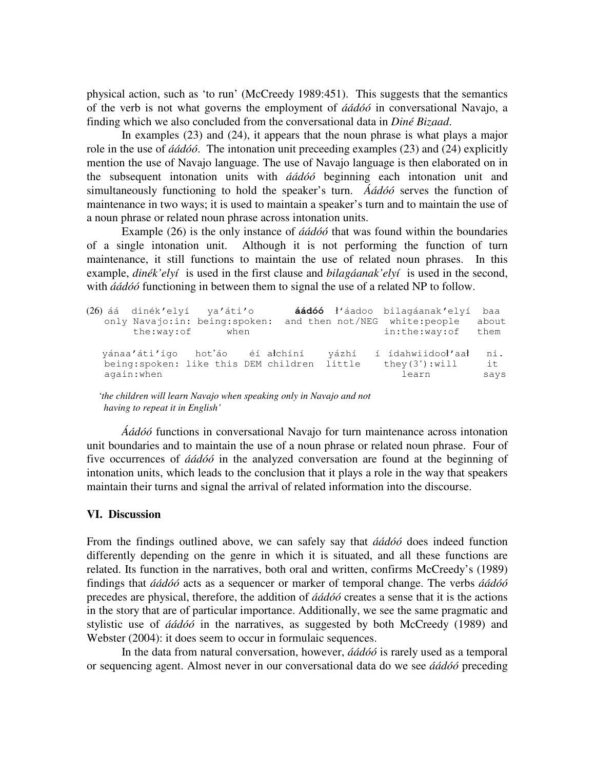physical action, such as 'to run' (McCreedy 1989:451). This suggests that the semantics of the verb is not what governs the employment of *áádóó* in conversational Navajo, a finding which we also concluded from the conversational data in *Diné Bizaad*.

In examples (23) and (24), it appears that the noun phrase is what plays a major role in the use of *áádóó*. The intonation unit preceeding examples (23) and (24) explicitly mention the use of Navajo language. The use of Navajo language is then elaborated on in the subsequent intonation units with *áádóó* beginning each intonation unit and simultaneously functioning to hold the speaker's turn. *Áádóó* serves the function of maintenance in two ways; it is used to maintain a speaker's turn and to maintain the use of a noun phrase or related noun phrase across intonation units.

 Example (26) is the only instance of *áádóó* that was found within the boundaries of a single intonation unit. Although it is not performing the function of turn maintenance, it still functions to maintain the use of related noun phrases. In this example, *dinék'elyí* is used in the first clause and *bilagáanak'elyí* is used in the second, with *áádóó* functioning in between them to signal the use of a related NP to follow.

|             | (26) áá dinék'elyí ya'áti'o<br>only Navajo: in: being: spoken:<br>the:way:of<br>when |                                              |       | <b>áádóó</b> ł'áadoo bilagáanak'elyí<br>and then not/NEG white: people<br>in:the:way:of | baa<br>about<br>them |
|-------------|--------------------------------------------------------------------------------------|----------------------------------------------|-------|-----------------------------------------------------------------------------------------|----------------------|
| again: when | yánaa'áti'ígo hot'áo éí archíní                                                      | being: spoken: like this DEM children little | vázhí | í ídahwiidooł'aał<br>they $(3^+)$ : will<br>learn                                       | ní.<br>it<br>says    |

 *'the children will learn Navajo when speaking only in Navajo and not having to repeat it in English'*

*Áádóó* functions in conversational Navajo for turn maintenance across intonation unit boundaries and to maintain the use of a noun phrase or related noun phrase. Four of five occurrences of *áádóó* in the analyzed conversation are found at the beginning of intonation units, which leads to the conclusion that it plays a role in the way that speakers maintain their turns and signal the arrival of related information into the discourse.

## **VI. Discussion**

From the findings outlined above, we can safely say that *áádóó* does indeed function differently depending on the genre in which it is situated, and all these functions are related. Its function in the narratives, both oral and written, confirms McCreedy's (1989) findings that *áádóó* acts as a sequencer or marker of temporal change. The verbs *áádóó* precedes are physical, therefore, the addition of *áádóó* creates a sense that it is the actions in the story that are of particular importance. Additionally, we see the same pragmatic and stylistic use of *áádóó* in the narratives, as suggested by both McCreedy (1989) and Webster (2004): it does seem to occur in formulaic sequences.

 In the data from natural conversation, however, *áádóó* is rarely used as a temporal or sequencing agent. Almost never in our conversational data do we see *áádóó* preceding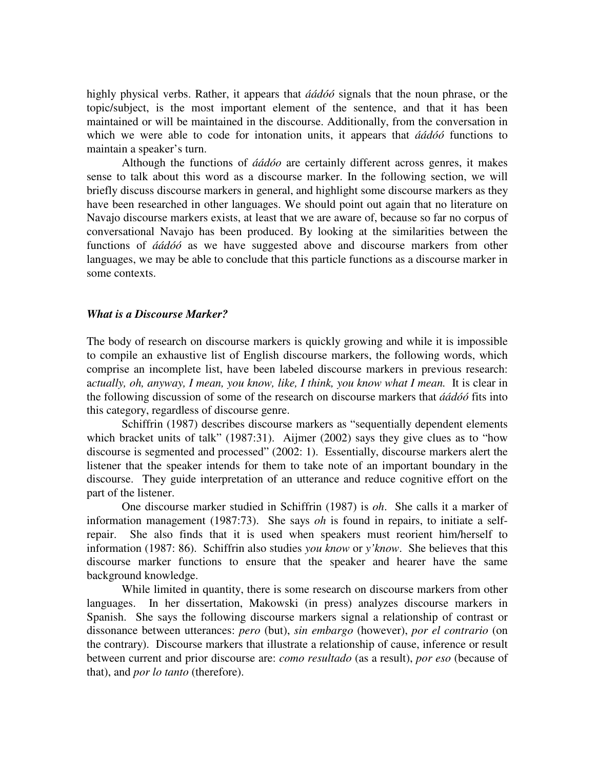highly physical verbs. Rather, it appears that *áádóó* signals that the noun phrase, or the topic/subject, is the most important element of the sentence, and that it has been maintained or will be maintained in the discourse. Additionally, from the conversation in which we were able to code for intonation units, it appears that *áádóó* functions to maintain a speaker's turn.

 Although the functions of *áádóo* are certainly different across genres, it makes sense to talk about this word as a discourse marker. In the following section, we will briefly discuss discourse markers in general, and highlight some discourse markers as they have been researched in other languages. We should point out again that no literature on Navajo discourse markers exists, at least that we are aware of, because so far no corpus of conversational Navajo has been produced. By looking at the similarities between the functions of *áádóó* as we have suggested above and discourse markers from other languages, we may be able to conclude that this particle functions as a discourse marker in some contexts.

#### *What is a Discourse Marker?*

The body of research on discourse markers is quickly growing and while it is impossible to compile an exhaustive list of English discourse markers, the following words, which comprise an incomplete list, have been labeled discourse markers in previous research: a*ctually, oh, anyway, I mean, you know, like, I think, you know what I mean.* It is clear in the following discussion of some of the research on discourse markers that *áádóó* fits into this category, regardless of discourse genre.

Schiffrin (1987) describes discourse markers as "sequentially dependent elements which bracket units of talk" (1987:31). Aijmer (2002) says they give clues as to "how discourse is segmented and processed" (2002: 1). Essentially, discourse markers alert the listener that the speaker intends for them to take note of an important boundary in the discourse. They guide interpretation of an utterance and reduce cognitive effort on the part of the listener.

One discourse marker studied in Schiffrin (1987) is *oh*. She calls it a marker of information management (1987:73). She says *oh* is found in repairs, to initiate a selfrepair. She also finds that it is used when speakers must reorient him/herself to information (1987: 86). Schiffrin also studies *you know* or *y'know*. She believes that this discourse marker functions to ensure that the speaker and hearer have the same background knowledge.

While limited in quantity, there is some research on discourse markers from other languages. In her dissertation, Makowski (in press) analyzes discourse markers in Spanish. She says the following discourse markers signal a relationship of contrast or dissonance between utterances: *pero* (but), *sin embargo* (however), *por el contrario* (on the contrary). Discourse markers that illustrate a relationship of cause, inference or result between current and prior discourse are: *como resultado* (as a result), *por eso* (because of that), and *por lo tanto* (therefore).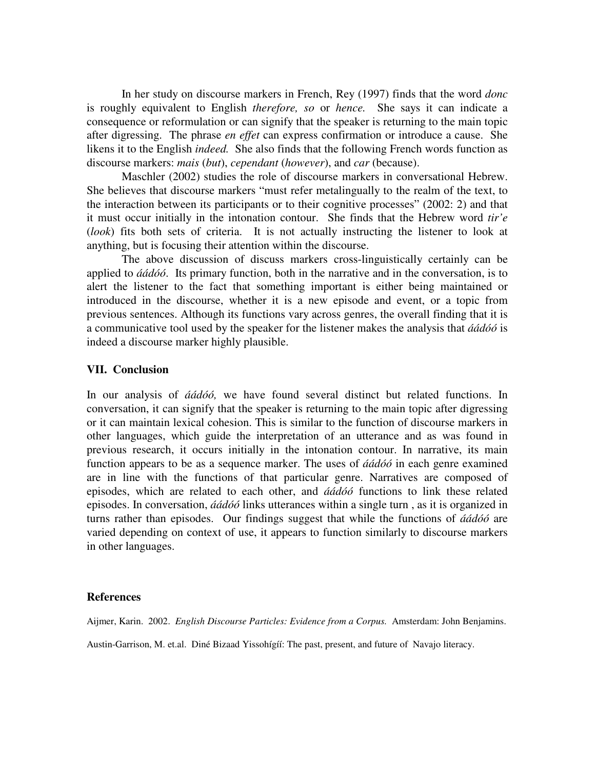In her study on discourse markers in French, Rey (1997) finds that the word *donc* is roughly equivalent to English *therefore, so* or *hence.* She says it can indicate a consequence or reformulation or can signify that the speaker is returning to the main topic after digressing. The phrase *en effet* can express confirmation or introduce a cause. She likens it to the English *indeed.* She also finds that the following French words function as discourse markers: *mais* (*but*), *cependant* (*however*), and *car* (because).

Maschler (2002) studies the role of discourse markers in conversational Hebrew. She believes that discourse markers "must refer metalingually to the realm of the text, to the interaction between its participants or to their cognitive processes" (2002: 2) and that it must occur initially in the intonation contour. She finds that the Hebrew word *tir'e* (*look*) fits both sets of criteria. It is not actually instructing the listener to look at anything, but is focusing their attention within the discourse.

The above discussion of discuss markers cross-linguistically certainly can be applied to *áádóó*. Its primary function, both in the narrative and in the conversation, is to alert the listener to the fact that something important is either being maintained or introduced in the discourse, whether it is a new episode and event, or a topic from previous sentences. Although its functions vary across genres, the overall finding that it is a communicative tool used by the speaker for the listener makes the analysis that *áádóó* is indeed a discourse marker highly plausible.

# **VII. Conclusion**

In our analysis of *áádóó,* we have found several distinct but related functions. In conversation, it can signify that the speaker is returning to the main topic after digressing or it can maintain lexical cohesion. This is similar to the function of discourse markers in other languages, which guide the interpretation of an utterance and as was found in previous research, it occurs initially in the intonation contour. In narrative, its main function appears to be as a sequence marker. The uses of *áádóó* in each genre examined are in line with the functions of that particular genre. Narratives are composed of episodes, which are related to each other, and *áádóó* functions to link these related episodes. In conversation, *áádóó* links utterances within a single turn , as it is organized in turns rather than episodes. Our findings suggest that while the functions of *áádóó* are varied depending on context of use, it appears to function similarly to discourse markers in other languages.

## **References**

Aijmer, Karin. 2002. *English Discourse Particles: Evidence from a Corpus.* Amsterdam: John Benjamins.

Austin-Garrison, M. et.al. Diné Bizaad Yissohígíí: The past, present, and future of Navajo literacy.